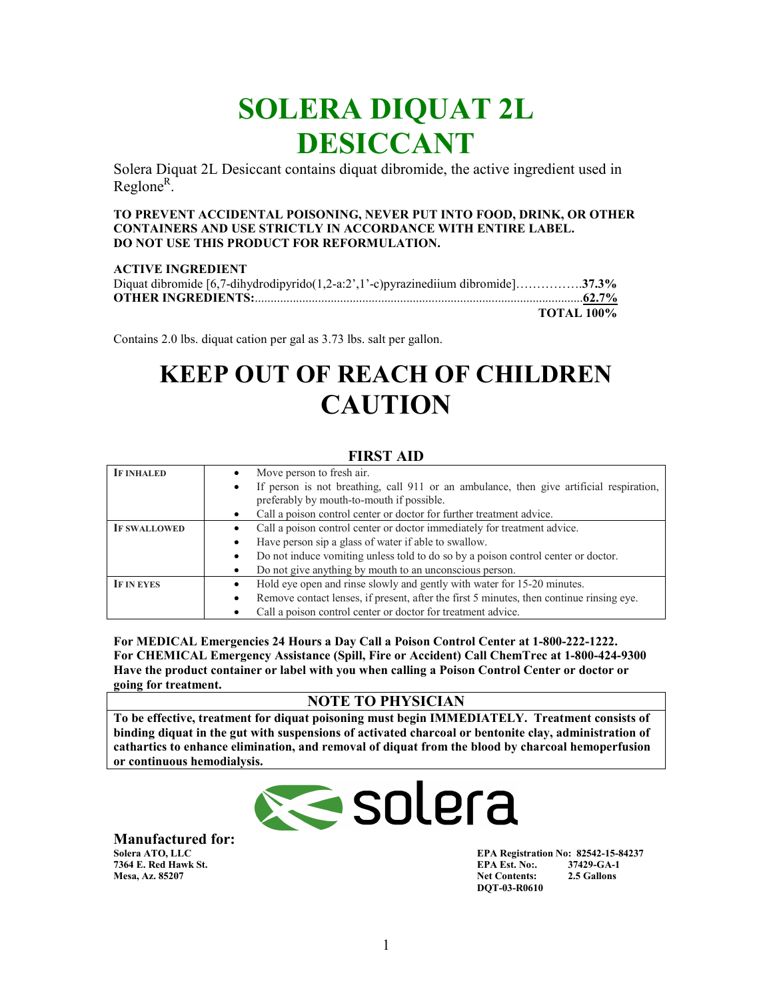## **SOLERA DIQUAT 2L DESICCANT**

Solera Diquat 2L Desiccant contains diquat dibromide, the active ingredient used in Reglone<sup>R</sup>.

#### **TO PREVENT ACCIDENTAL POISONING, NEVER PUT INTO FOOD, DRINK, OR OTHER CONTAINERS AND USE STRICTLY IN ACCORDANCE WITH ENTIRE LABEL. DO NOT USE THIS PRODUCT FOR REFORMULATION.**

#### **ACTIVE INGREDIENT**

| Diquat dibromide $[6,7$ -dihydrodipyrido $(1,2-a:2',1'-c)$ pyrazinediium dibromide]37.3% |                   |
|------------------------------------------------------------------------------------------|-------------------|
|                                                                                          |                   |
|                                                                                          | <b>TOTAL 100%</b> |

Contains 2.0 lbs. diquat cation per gal as 3.73 lbs. salt per gallon.

## **KEEP OUT OF REACH OF CHILDREN CAUTION**

| .                   |                                                                                               |  |  |  |
|---------------------|-----------------------------------------------------------------------------------------------|--|--|--|
| <b>IF INHALED</b>   | Move person to fresh air.                                                                     |  |  |  |
|                     | If person is not breathing, call 911 or an ambulance, then give artificial respiration,       |  |  |  |
|                     | preferably by mouth-to-mouth if possible.                                                     |  |  |  |
|                     | Call a poison control center or doctor for further treatment advice.                          |  |  |  |
| <b>IF SWALLOWED</b> | Call a poison control center or doctor immediately for treatment advice.                      |  |  |  |
|                     | Have person sip a glass of water if able to swallow.                                          |  |  |  |
|                     | Do not induce vomiting unless told to do so by a poison control center or doctor.             |  |  |  |
|                     | Do not give anything by mouth to an unconscious person.                                       |  |  |  |
| <b>IF IN EYES</b>   | Hold eye open and rinse slowly and gently with water for 15-20 minutes.                       |  |  |  |
|                     | Remove contact lenses, if present, after the first 5 minutes, then continue rinsing eye.<br>٠ |  |  |  |
|                     | Call a poison control center or doctor for treatment advice.                                  |  |  |  |

**For MEDICAL Emergencies 24 Hours a Day Call a Poison Control Center at 1-800-222-1222. For CHEMICAL Emergency Assistance (Spill, Fire or Accident) Call ChemTrec at 1-800-424-9300 Have the product container or label with you when calling a Poison Control Center or doctor or going for treatment.**

#### **NOTE TO PHYSICIAN**

**To be effective, treatment for diquat poisoning must begin IMMEDIATELY. Treatment consists of binding diquat in the gut with suspensions of activated charcoal or bentonite clay, administration of cathartics to enhance elimination, and removal of diquat from the blood by charcoal hemoperfusion or continuous hemodialysis.** 

# Solera

**Manufactured for: Mesa, Az. 85207** 

**EPA Registration No: 82542-15-84237**<br>**EPA Est. No:.** 37429-GA-1 **7364 E. Red Hawk St. EPA Est. No:. 37429-GA-1 DQT-03-R0610** 

### **FIRST AID**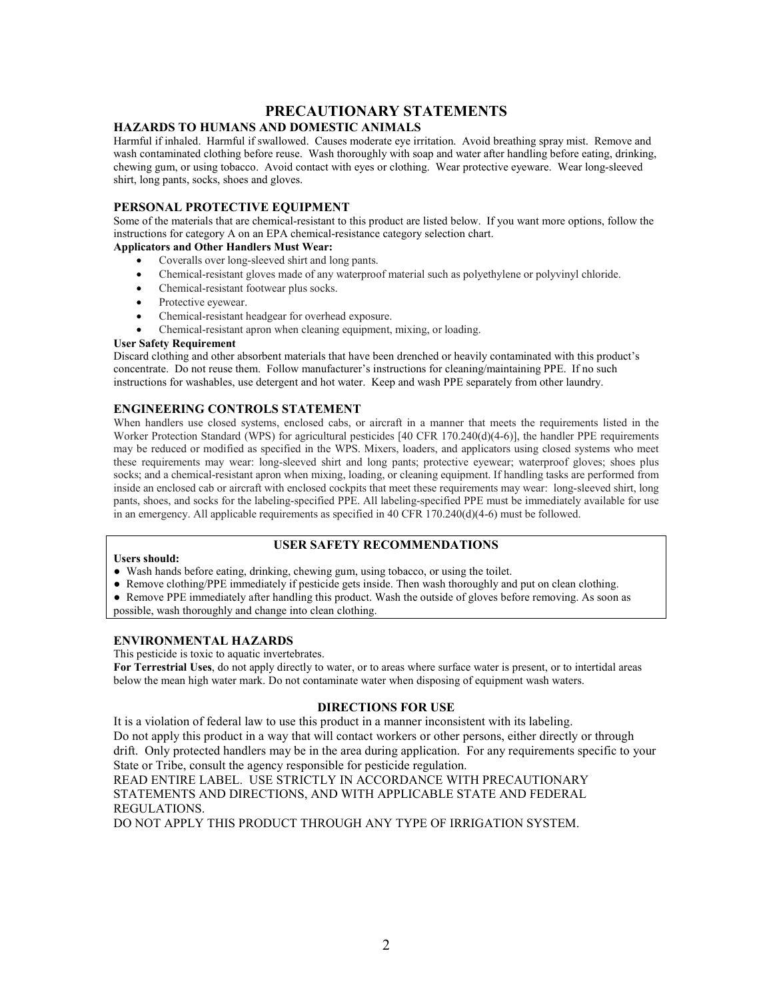#### **PRECAUTIONARY STATEMENTS**

#### **HAZARDS TO HUMANS AND DOMESTIC ANIMALS**

Harmful if inhaled. Harmful if swallowed. Causes moderate eye irritation. Avoid breathing spray mist. Remove and wash contaminated clothing before reuse. Wash thoroughly with soap and water after handling before eating, drinking, chewing gum, or using tobacco. Avoid contact with eyes or clothing. Wear protective eyeware. Wear long-sleeved shirt, long pants, socks, shoes and gloves.

#### **PERSONAL PROTECTIVE EQUIPMENT**

Some of the materials that are chemical-resistant to this product are listed below. If you want more options, follow the instructions for category A on an EPA chemical-resistance category selection chart.

#### **Applicators and Other Handlers Must Wear:**

- Coveralls over long-sleeved shirt and long pants.
- Chemical-resistant gloves made of any waterproof material such as polyethylene or polyvinyl chloride.
- Chemical-resistant footwear plus socks.
- Protective eyewear.
- Chemical-resistant headgear for overhead exposure.
- Chemical-resistant apron when cleaning equipment, mixing, or loading.

#### **User Safety Requirement**

Discard clothing and other absorbent materials that have been drenched or heavily contaminated with this product's concentrate. Do not reuse them. Follow manufacturer's instructions for cleaning/maintaining PPE. If no such instructions for washables, use detergent and hot water. Keep and wash PPE separately from other laundry.

#### **ENGINEERING CONTROLS STATEMENT**

When handlers use closed systems, enclosed cabs, or aircraft in a manner that meets the requirements listed in the Worker Protection Standard (WPS) for agricultural pesticides [40 CFR 170.240(d)(4-6)], the handler PPE requirements may be reduced or modified as specified in the WPS. Mixers, loaders, and applicators using closed systems who meet these requirements may wear: long-sleeved shirt and long pants; protective eyewear; waterproof gloves; shoes plus socks; and a chemical-resistant apron when mixing, loading, or cleaning equipment. If handling tasks are performed from inside an enclosed cab or aircraft with enclosed cockpits that meet these requirements may wear: long-sleeved shirt, long pants, shoes, and socks for the labeling-specified PPE. All labeling-specified PPE must be immediately available for use in an emergency. All applicable requirements as specified in 40 CFR 170.240(d)(4-6) must be followed.

#### **USER SAFETY RECOMMENDATIONS**

#### **Users should:**

- Wash hands before eating, drinking, chewing gum, using tobacco, or using the toilet.
- Remove clothing/PPE immediately if pesticide gets inside. Then wash thoroughly and put on clean clothing.
- Remove PPE immediately after handling this product. Wash the outside of gloves before removing. As soon as

possible, wash thoroughly and change into clean clothing.

#### **ENVIRONMENTAL HAZARDS**

This pesticide is toxic to aquatic invertebrates.

**For Terrestrial Uses**, do not apply directly to water, or to areas where surface water is present, or to intertidal areas below the mean high water mark. Do not contaminate water when disposing of equipment wash waters.

#### **DIRECTIONS FOR USE**

It is a violation of federal law to use this product in a manner inconsistent with its labeling. Do not apply this product in a way that will contact workers or other persons, either directly or through drift. Only protected handlers may be in the area during application. For any requirements specific to your State or Tribe, consult the agency responsible for pesticide regulation.

READ ENTIRE LABEL. USE STRICTLY IN ACCORDANCE WITH PRECAUTIONARY STATEMENTS AND DIRECTIONS, AND WITH APPLICABLE STATE AND FEDERAL REGULATIONS.

DO NOT APPLY THIS PRODUCT THROUGH ANY TYPE OF IRRIGATION SYSTEM.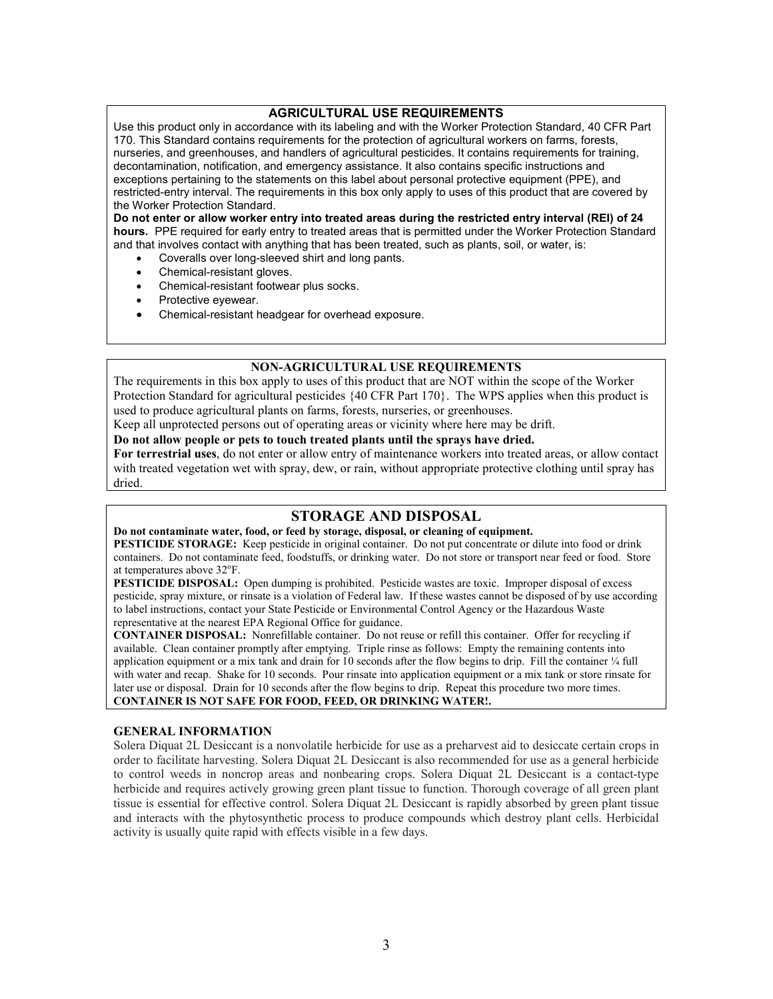#### **AGRICULTURAL USE REQUIREMENTS**

Use this product only in accordance with its labeling and with the Worker Protection Standard, 40 CFR Part 170. This Standard contains requirements for the protection of agricultural workers on farms, forests, nurseries, and greenhouses, and handlers of agricultural pesticides. It contains requirements for training, decontamination, notification, and emergency assistance. It also contains specific instructions and exceptions pertaining to the statements on this label about personal protective equipment (PPE), and restricted-entry interval. The requirements in this box only apply to uses of this product that are covered by the Worker Protection Standard.

**Do not enter or allow worker entry into treated areas during the restricted entry interval (REI) of 24 hours.** PPE required for early entry to treated areas that is permitted under the Worker Protection Standard and that involves contact with anything that has been treated, such as plants, soil, or water, is:

- Coveralls over long-sleeved shirt and long pants.
- Chemical-resistant gloves.
- Chemical-resistant footwear plus socks.
- Protective eyewear.
- Chemical-resistant headgear for overhead exposure.

#### **NON-AGRICULTURAL USE REQUIREMENTS**

The requirements in this box apply to uses of this product that are NOT within the scope of the Worker Protection Standard for agricultural pesticides {40 CFR Part 170}. The WPS applies when this product is used to produce agricultural plants on farms, forests, nurseries, or greenhouses.

Keep all unprotected persons out of operating areas or vicinity where here may be drift.

**Do not allow people or pets to touch treated plants until the sprays have dried.** 

**For terrestrial uses**, do not enter or allow entry of maintenance workers into treated areas, or allow contact with treated vegetation wet with spray, dew, or rain, without appropriate protective clothing until spray has dried.

#### **STORAGE AND DISPOSAL**

**Do not contaminate water, food, or feed by storage, disposal, or cleaning of equipment.** 

**PESTICIDE STORAGE:** Keep pesticide in original container. Do not put concentrate or dilute into food or drink containers. Do not contaminate feed, foodstuffs, or drinking water. Do not store or transport near feed or food. Store at temperatures above 32°F.

**PESTICIDE DISPOSAL:** Open dumping is prohibited. Pesticide wastes are toxic. Improper disposal of excess pesticide, spray mixture, or rinsate is a violation of Federal law. If these wastes cannot be disposed of by use according to label instructions, contact your State Pesticide or Environmental Control Agency or the Hazardous Waste representative at the nearest EPA Regional Office for guidance.

**CONTAINER DISPOSAL:** Nonrefillable container. Do not reuse or refill this container. Offer for recycling if available. Clean container promptly after emptying. Triple rinse as follows: Empty the remaining contents into application equipment or a mix tank and drain for 10 seconds after the flow begins to drip. Fill the container  $\frac{1}{4}$  full with water and recap. Shake for 10 seconds. Pour rinsate into application equipment or a mix tank or store rinsate for later use or disposal. Drain for 10 seconds after the flow begins to drip. Repeat this procedure two more times. **CONTAINER IS NOT SAFE FOR FOOD, FEED, OR DRINKING WATER!.** 

#### **GENERAL INFORMATION**

Solera Diquat 2L Desiccant is a nonvolatile herbicide for use as a preharvest aid to desiccate certain crops in order to facilitate harvesting. Solera Diquat 2L Desiccant is also recommended for use as a general herbicide to control weeds in noncrop areas and nonbearing crops. Solera Diquat 2L Desiccant is a contact-type herbicide and requires actively growing green plant tissue to function. Thorough coverage of all green plant tissue is essential for effective control. Solera Diquat 2L Desiccant is rapidly absorbed by green plant tissue and interacts with the phytosynthetic process to produce compounds which destroy plant cells. Herbicidal activity is usually quite rapid with effects visible in a few days.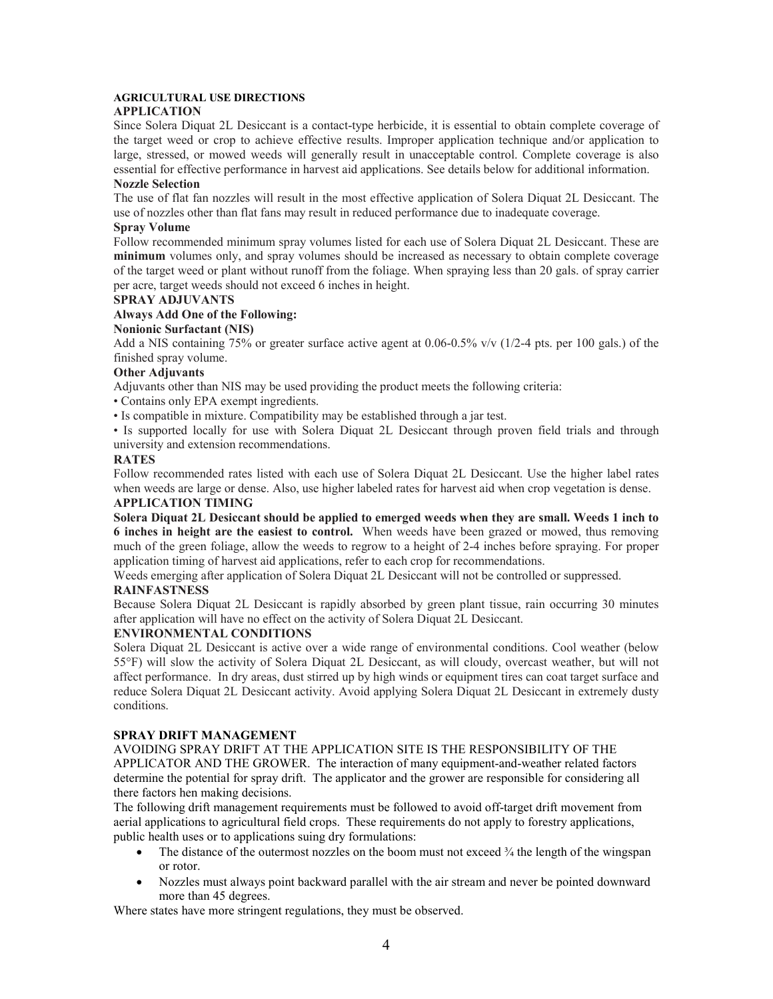#### **AGRICULTURAL USE DIRECTIONS**

#### **APPLICATION**

Since Solera Diquat 2L Desiccant is a contact-type herbicide, it is essential to obtain complete coverage of the target weed or crop to achieve effective results. Improper application technique and/or application to large, stressed, or mowed weeds will generally result in unacceptable control. Complete coverage is also essential for effective performance in harvest aid applications. See details below for additional information.

#### **Nozzle Selection**

The use of flat fan nozzles will result in the most effective application of Solera Diquat 2L Desiccant. The use of nozzles other than flat fans may result in reduced performance due to inadequate coverage.

#### **Spray Volume**

Follow recommended minimum spray volumes listed for each use of Solera Diquat 2L Desiccant. These are **minimum** volumes only, and spray volumes should be increased as necessary to obtain complete coverage of the target weed or plant without runoff from the foliage. When spraying less than 20 gals. of spray carrier per acre, target weeds should not exceed 6 inches in height.

#### **SPRAY ADJUVANTS**

#### **Always Add One of the Following:**

#### **Nonionic Surfactant (NIS)**

Add a NIS containing 75% or greater surface active agent at  $0.06-0.5\%$  v/v (1/2-4 pts. per 100 gals.) of the finished spray volume.

#### **Other Adjuvants**

Adjuvants other than NIS may be used providing the product meets the following criteria:

- Contains only EPA exempt ingredients.
- Is compatible in mixture. Compatibility may be established through a jar test.

• Is supported locally for use with Solera Diquat 2L Desiccant through proven field trials and through university and extension recommendations.

#### **RATES**

Follow recommended rates listed with each use of Solera Diquat 2L Desiccant. Use the higher label rates when weeds are large or dense. Also, use higher labeled rates for harvest aid when crop vegetation is dense.

#### **APPLICATION TIMING**

**Solera Diquat 2L Desiccant should be applied to emerged weeds when they are small. Weeds 1 inch to 6 inches in height are the easiest to control.** When weeds have been grazed or mowed, thus removing much of the green foliage, allow the weeds to regrow to a height of 2-4 inches before spraying. For proper application timing of harvest aid applications, refer to each crop for recommendations.

Weeds emerging after application of Solera Diquat 2L Desiccant will not be controlled or suppressed.

#### **RAINFASTNESS**

Because Solera Diquat 2L Desiccant is rapidly absorbed by green plant tissue, rain occurring 30 minutes after application will have no effect on the activity of Solera Diquat 2L Desiccant.

#### **ENVIRONMENTAL CONDITIONS**

Solera Diquat 2L Desiccant is active over a wide range of environmental conditions. Cool weather (below 55°F) will slow the activity of Solera Diquat 2L Desiccant, as will cloudy, overcast weather, but will not affect performance. In dry areas, dust stirred up by high winds or equipment tires can coat target surface and reduce Solera Diquat 2L Desiccant activity. Avoid applying Solera Diquat 2L Desiccant in extremely dusty conditions.

#### **SPRAY DRIFT MANAGEMENT**

AVOIDING SPRAY DRIFT AT THE APPLICATION SITE IS THE RESPONSIBILITY OF THE APPLICATOR AND THE GROWER. The interaction of many equipment-and-weather related factors determine the potential for spray drift. The applicator and the grower are responsible for considering all there factors hen making decisions.

The following drift management requirements must be followed to avoid off-target drift movement from aerial applications to agricultural field crops. These requirements do not apply to forestry applications, public health uses or to applications suing dry formulations:

- The distance of the outermost nozzles on the boom must not exceed  $\frac{3}{4}$  the length of the wingspan or rotor.
- Nozzles must always point backward parallel with the air stream and never be pointed downward more than 45 degrees.

Where states have more stringent regulations, they must be observed.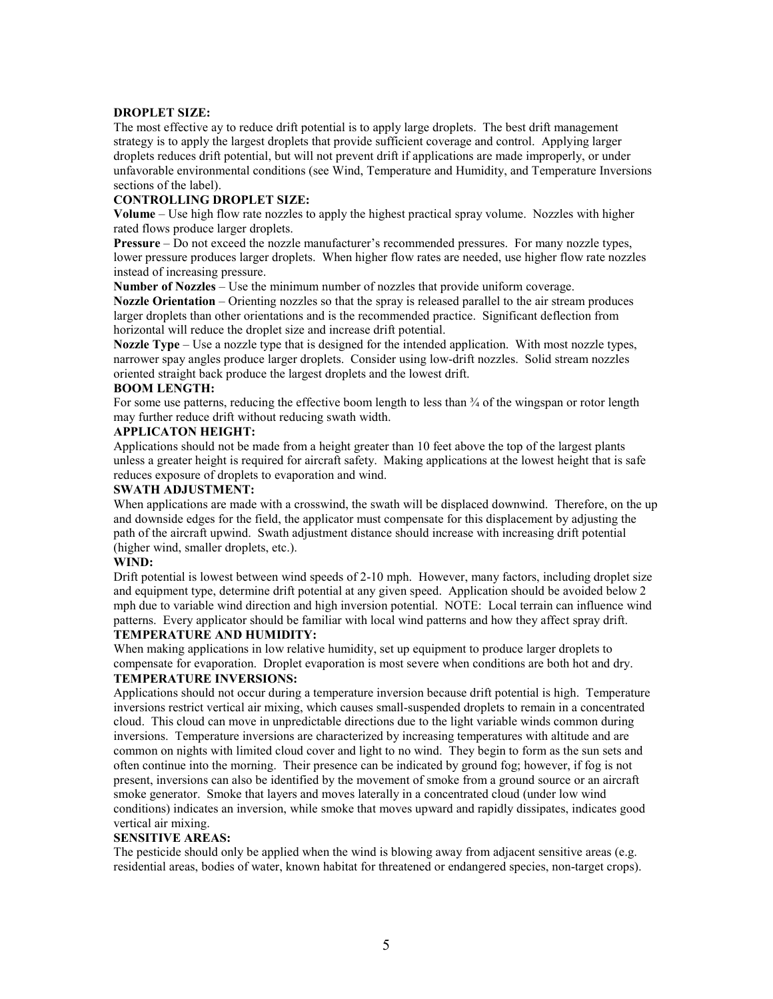#### **DROPLET SIZE:**

The most effective ay to reduce drift potential is to apply large droplets. The best drift management strategy is to apply the largest droplets that provide sufficient coverage and control. Applying larger droplets reduces drift potential, but will not prevent drift if applications are made improperly, or under unfavorable environmental conditions (see Wind, Temperature and Humidity, and Temperature Inversions sections of the label).

#### **CONTROLLING DROPLET SIZE:**

**Volume** – Use high flow rate nozzles to apply the highest practical spray volume. Nozzles with higher rated flows produce larger droplets.

**Pressure** – Do not exceed the nozzle manufacturer's recommended pressures. For many nozzle types, lower pressure produces larger droplets. When higher flow rates are needed, use higher flow rate nozzles instead of increasing pressure.

**Number of Nozzles** – Use the minimum number of nozzles that provide uniform coverage.

**Nozzle Orientation** – Orienting nozzles so that the spray is released parallel to the air stream produces larger droplets than other orientations and is the recommended practice. Significant deflection from horizontal will reduce the droplet size and increase drift potential.

**Nozzle Type** – Use a nozzle type that is designed for the intended application. With most nozzle types, narrower spay angles produce larger droplets. Consider using low-drift nozzles. Solid stream nozzles oriented straight back produce the largest droplets and the lowest drift.

#### **BOOM LENGTH:**

For some use patterns, reducing the effective boom length to less than  $\frac{3}{4}$  of the wingspan or rotor length may further reduce drift without reducing swath width.

#### **APPLICATON HEIGHT:**

Applications should not be made from a height greater than 10 feet above the top of the largest plants unless a greater height is required for aircraft safety. Making applications at the lowest height that is safe reduces exposure of droplets to evaporation and wind.

#### **SWATH ADJUSTMENT:**

When applications are made with a crosswind, the swath will be displaced downwind. Therefore, on the up and downside edges for the field, the applicator must compensate for this displacement by adjusting the path of the aircraft upwind. Swath adjustment distance should increase with increasing drift potential (higher wind, smaller droplets, etc.).

#### **WIND:**

Drift potential is lowest between wind speeds of 2-10 mph. However, many factors, including droplet size and equipment type, determine drift potential at any given speed. Application should be avoided below 2 mph due to variable wind direction and high inversion potential. NOTE: Local terrain can influence wind patterns. Every applicator should be familiar with local wind patterns and how they affect spray drift.

#### **TEMPERATURE AND HUMIDITY:**

When making applications in low relative humidity, set up equipment to produce larger droplets to compensate for evaporation. Droplet evaporation is most severe when conditions are both hot and dry. **TEMPERATURE INVERSIONS:** 

Applications should not occur during a temperature inversion because drift potential is high. Temperature inversions restrict vertical air mixing, which causes small-suspended droplets to remain in a concentrated cloud. This cloud can move in unpredictable directions due to the light variable winds common during inversions. Temperature inversions are characterized by increasing temperatures with altitude and are common on nights with limited cloud cover and light to no wind. They begin to form as the sun sets and often continue into the morning. Their presence can be indicated by ground fog; however, if fog is not present, inversions can also be identified by the movement of smoke from a ground source or an aircraft smoke generator. Smoke that layers and moves laterally in a concentrated cloud (under low wind conditions) indicates an inversion, while smoke that moves upward and rapidly dissipates, indicates good vertical air mixing.

#### **SENSITIVE AREAS:**

The pesticide should only be applied when the wind is blowing away from adjacent sensitive areas (e.g. residential areas, bodies of water, known habitat for threatened or endangered species, non-target crops).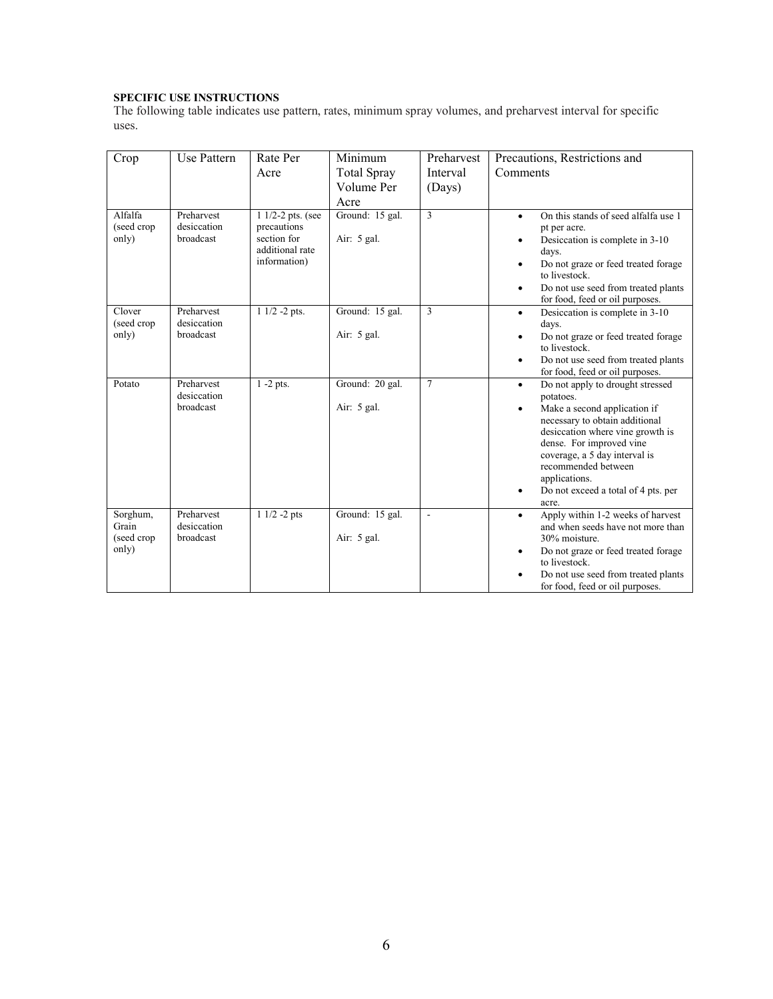#### **SPECIFIC USE INSTRUCTIONS**

The following table indicates use pattern, rates, minimum spray volumes, and preharvest interval for specific uses.

| Crop                                     | Use Pattern                            | Rate Per<br>Acre                                                                   | Minimum<br><b>Total Spray</b><br>Volume Per<br>Acre | Preharvest<br>Interval<br>(Days) | Precautions, Restrictions and<br>Comments                                                                                                                                                                                                                                                                                          |
|------------------------------------------|----------------------------------------|------------------------------------------------------------------------------------|-----------------------------------------------------|----------------------------------|------------------------------------------------------------------------------------------------------------------------------------------------------------------------------------------------------------------------------------------------------------------------------------------------------------------------------------|
| Alfalfa<br>(seed crop<br>only)           | Preharvest<br>desiccation<br>broadcast | 1 1/2-2 pts. (see<br>precautions<br>section for<br>additional rate<br>information) | Ground: 15 gal.<br>Air: $5$ gal.                    | $\overline{3}$                   | On this stands of seed alfalfa use 1<br>$\bullet$<br>pt per acre.<br>Desiccation is complete in 3-10<br>days.<br>Do not graze or feed treated forage<br>to livestock.<br>Do not use seed from treated plants<br>٠<br>for food, feed or oil purposes.                                                                               |
| Clover<br>(seed crop<br>only)            | Preharvest<br>desiccation<br>broadcast | $11/2 - 2$ pts.                                                                    | Ground: 15 gal.<br>Air: $5$ gal.                    | 3                                | Desiccation is complete in 3-10<br>$\bullet$<br>days.<br>Do not graze or feed treated forage<br>to livestock.<br>Do not use seed from treated plants<br>$\bullet$<br>for food, feed or oil purposes.                                                                                                                               |
| Potato                                   | Preharvest<br>desiccation<br>broadcast | $\overline{1-2}$ pts.                                                              | Ground: 20 gal.<br>Air: $5$ gal.                    | $\overline{7}$                   | Do not apply to drought stressed<br>$\bullet$<br>potatoes.<br>Make a second application if<br>necessary to obtain additional<br>desiccation where vine growth is<br>dense. For improved vine<br>coverage, a 5 day interval is<br>recommended between<br>applications.<br>Do not exceed a total of 4 pts. per<br>$\bullet$<br>acre. |
| Sorghum,<br>Grain<br>(seed crop<br>only) | Preharvest<br>desiccation<br>broadcast | $11/2 - 2pts$                                                                      | Ground: 15 gal.<br>Air: 5 gal.                      | $\overline{a}$                   | Apply within 1-2 weeks of harvest<br>$\bullet$<br>and when seeds have not more than<br>30% moisture.<br>Do not graze or feed treated forage<br>٠<br>to livestock.<br>Do not use seed from treated plants<br>for food, feed or oil purposes.                                                                                        |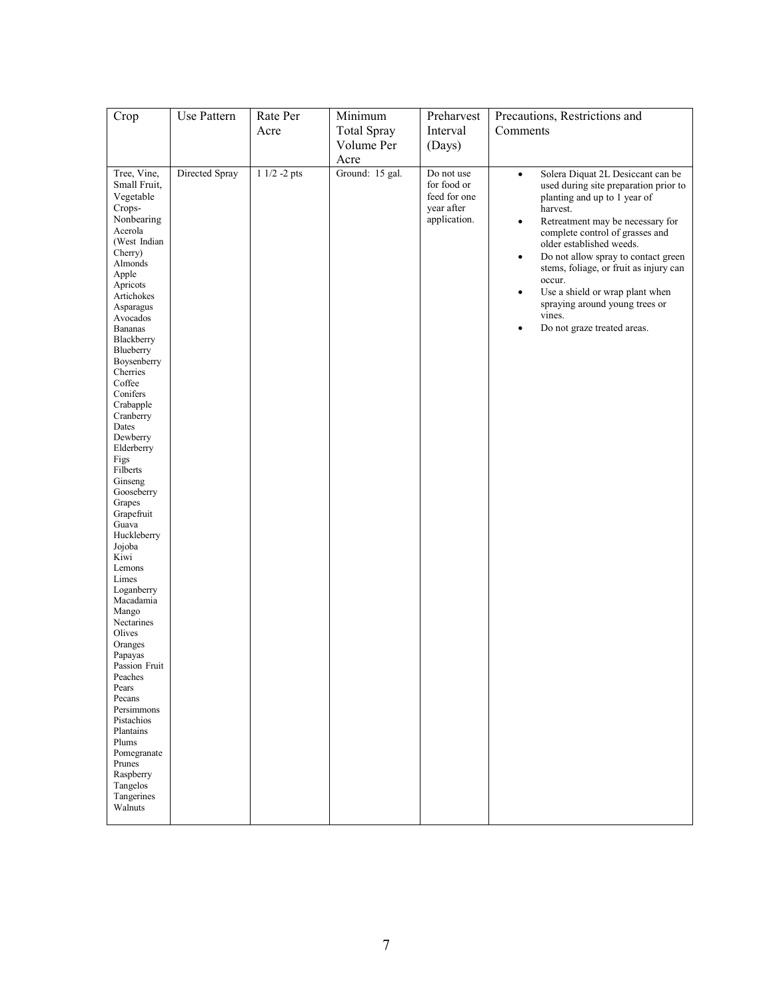| Crop                                                                                                                                                                                                                                                                                                                                                                                                                                                                                                                                                                                                                                                                                                                                     | Use Pattern    | Rate Per      | Minimum            | Preharvest                                                              | Precautions, Restrictions and                                                                                                                                                                                                                                                                                                                                                                                                                                                                       |
|------------------------------------------------------------------------------------------------------------------------------------------------------------------------------------------------------------------------------------------------------------------------------------------------------------------------------------------------------------------------------------------------------------------------------------------------------------------------------------------------------------------------------------------------------------------------------------------------------------------------------------------------------------------------------------------------------------------------------------------|----------------|---------------|--------------------|-------------------------------------------------------------------------|-----------------------------------------------------------------------------------------------------------------------------------------------------------------------------------------------------------------------------------------------------------------------------------------------------------------------------------------------------------------------------------------------------------------------------------------------------------------------------------------------------|
|                                                                                                                                                                                                                                                                                                                                                                                                                                                                                                                                                                                                                                                                                                                                          |                | Acre          | <b>Total Spray</b> | Interval                                                                | Comments                                                                                                                                                                                                                                                                                                                                                                                                                                                                                            |
|                                                                                                                                                                                                                                                                                                                                                                                                                                                                                                                                                                                                                                                                                                                                          |                |               | Volume Per         | (Days)                                                                  |                                                                                                                                                                                                                                                                                                                                                                                                                                                                                                     |
|                                                                                                                                                                                                                                                                                                                                                                                                                                                                                                                                                                                                                                                                                                                                          |                |               | Acre               |                                                                         |                                                                                                                                                                                                                                                                                                                                                                                                                                                                                                     |
| Tree, Vine,<br>Small Fruit,<br>Vegetable<br>Crops-<br>Nonbearing<br>Acerola<br>(West Indian<br>Cherry)<br>Almonds<br>Apple<br>Apricots<br>Artichokes<br>Asparagus<br>Avocados<br><b>Bananas</b><br>Blackberry<br>Blueberry<br>Boysenberry<br>Cherries<br>Coffee<br>Conifers<br>Crabapple<br>Cranberry<br>Dates<br>Dewberry<br>Elderberry<br>Figs<br>Filberts<br>Ginseng<br>Gooseberry<br>Grapes<br>Grapefruit<br>Guava<br>Huckleberry<br>Jojoba<br>Kiwi<br>Lemons<br>Limes<br>Loganberry<br>Macadamia<br>Mango<br>Nectarines<br>Olives<br>Oranges<br>Papayas<br>Passion Fruit<br>Peaches<br>Pears<br>Pecans<br>Persimmons<br>Pistachios<br>Plantains<br>Plums<br>Pomegranate<br>Prunes<br>Raspberry<br>Tangelos<br>Tangerines<br>Walnuts | Directed Spray | $11/2 - 2pts$ | Ground: 15 gal.    | Do not use<br>for food or<br>feed for one<br>year after<br>application. | Solera Diquat 2L Desiccant can be<br>$\bullet$<br>used during site preparation prior to<br>planting and up to 1 year of<br>harvest.<br>Retreatment may be necessary for<br>$\bullet$<br>complete control of grasses and<br>older established weeds.<br>Do not allow spray to contact green<br>$\bullet$<br>stems, foliage, or fruit as injury can<br>occur.<br>Use a shield or wrap plant when<br>$\bullet$<br>spraying around young trees or<br>vines.<br>Do not graze treated areas.<br>$\bullet$ |
|                                                                                                                                                                                                                                                                                                                                                                                                                                                                                                                                                                                                                                                                                                                                          |                |               |                    |                                                                         |                                                                                                                                                                                                                                                                                                                                                                                                                                                                                                     |